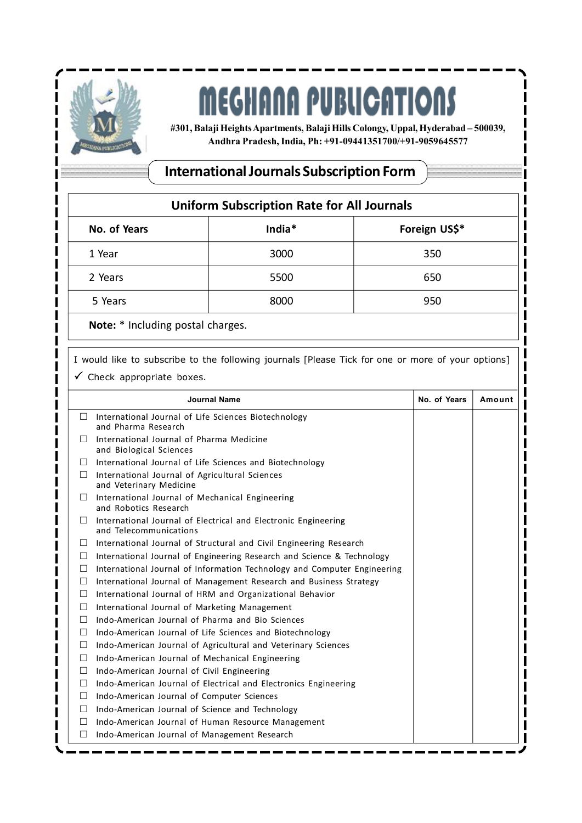

## **MEGHANA PUBLICATIONS**

**#301, Balaji Heights Apartments, Balaji Hills Colongy, Uppal, Hyderabad – 500039, Andhra Pradesh, India, Ph: +91-09441351700/+91-9059645577**

## **International Journals Subscription Form**

| <b>Uniform Subscription Rate for All Journals</b> |        |               |  |  |  |
|---------------------------------------------------|--------|---------------|--|--|--|
| No. of Years                                      | India* | Foreign US\$* |  |  |  |
| 1 Year                                            | 3000   | 350           |  |  |  |
| 2 Years                                           | 5500   | 650           |  |  |  |
| 5 Years                                           | 8000   | 950           |  |  |  |
| Note: * Including postal charges.                 |        |               |  |  |  |

I would like to subscribe to the following journals [Please Tick for one or more of your options]  $\checkmark$  Check appropriate boxes.

 **Journal Name No. of Years Amount**  $\Box$  International Journal of Life Sciences Biotechnology and Pharma Research  $\Box$  International Journal of Pharma Medicine and Biological Sciences  $\Box$  International Journal of Life Sciences and Biotechnology  $\Box$  International Journal of Agricultural Sciences and Veterinary Medicine  $\Box$  International Journal of Mechanical Engineering and Robotics Research  $\Box$  International Journal of Electrical and Electronic Engineering and Telecommunications  $\Box$  International Journal of Structural and Civil Engineering Research  $\Box$  International Journal of Engineering Research and Science & Technology  $\Box$  International Journal of Information Technology and Computer Engineering  $\Box$  International Journal of Management Research and Business Strategy  $\Box$  International Journal of HRM and Organizational Behavior  $\Box$  International Journal of Marketing Management  $\Box$  Indo-American Journal of Pharma and Bio Sciences  $\Box$  Indo-American Journal of Life Sciences and Biotechnology Indo-American Journal of Agricultural and Veterinary Sciences  $\Box$  Indo-American Journal of Mechanical Engineering  $\Box$  Indo-American Journal of Civil Engineering  $\Box$  Indo-American Journal of Electrical and Electronics Engineering  $\Box$  Indo-American Journal of Computer Sciences  $\Box$  Indo-American Journal of Science and Technology □ Indo-American Journal of Human Resource Management  $\Box$  Indo-American Journal of Management Research